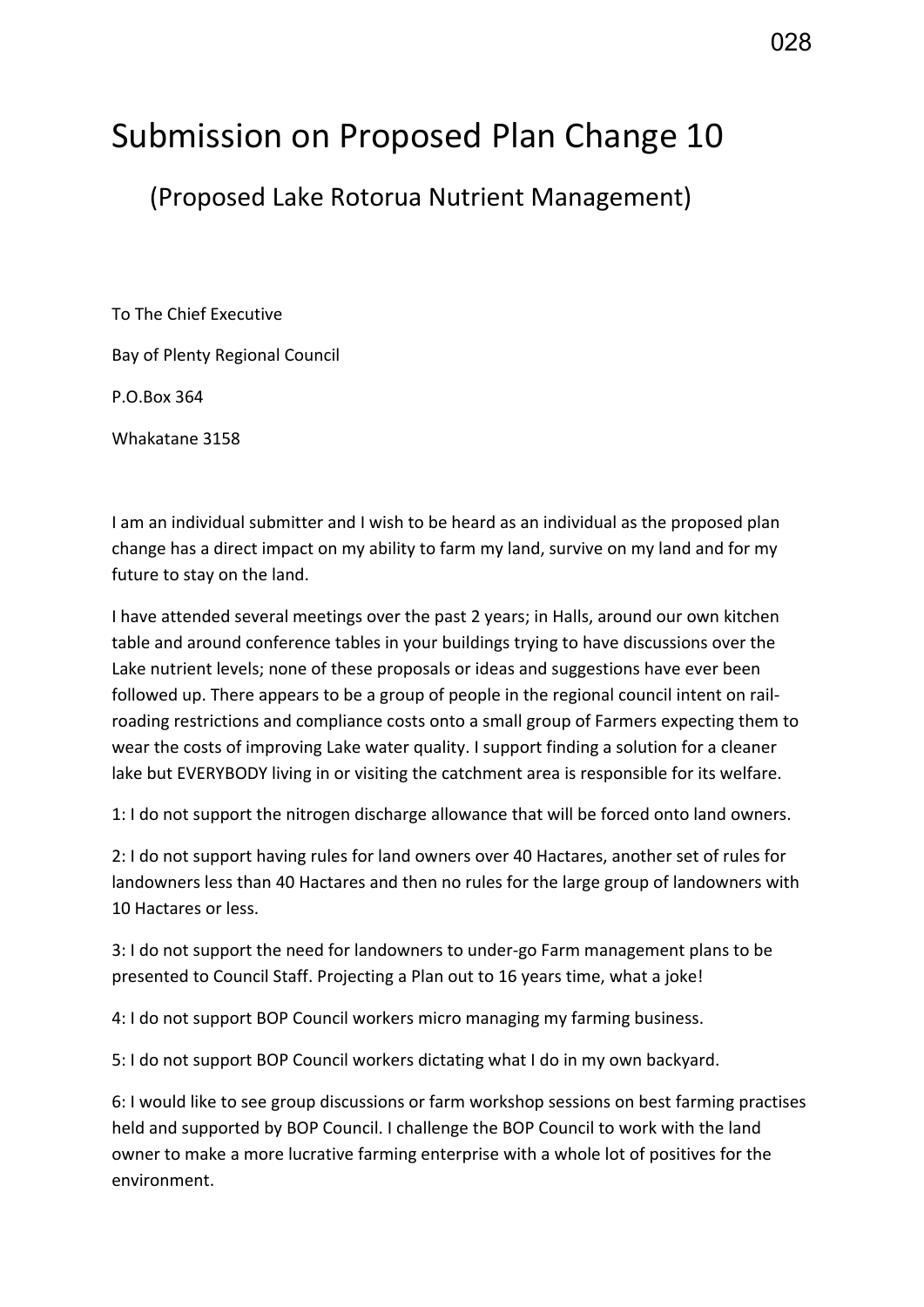## Submission on Proposed Plan Change 10

(Proposed Lake Rotorua Nutrient Management)

To The Chief Executive Bay of Plenty Regional Council P.O.Box 364 Whakatane 3158

I am an individual submitter and I wish to be heard as an individual as the proposed plan change has a direct impact on my ability to farm my land, survive on my land and for my future to stay on the land.

I have attended several meetings over the past 2 years; in Halls, around our own kitchen table and around conference tables in your buildings trying to have discussions over the Lake nutrient levels; none of these proposals or ideas and suggestions have ever been followed up. There appears to be a group of people in the regional council intent on railroading restrictions and compliance costs onto a small group of Farmers expecting them to wear the costs of improving Lake water quality. I support finding a solution for a cleaner lake but EVERYBODY living in or visiting the catchment area is responsible for its welfare.

1: I do not support the nitrogen discharge allowance that will be forced onto land owners.

2: I do not support having rules for land owners over 40 Hactares, another set of rules for landowners less than 40 Hactares and then no rules for the large group of landowners with 10 Hactares or less.

3: I do not support the need for landowners to under-go Farm management plans to be presented to Council Staff. Projecting a Plan out to 16 years time, what a joke!

4: I do not support BOP Council workers micro managing my farming business.

5: I do not support BOP Council workers dictating what I do in my own backyard.

6: I would like to see group discussions or farm workshop sessions on best farming practises held and supported by BOP Council. I challenge the BOP Council to work with the land owner to make a more lucrative farming enterprise with a whole lot of positives for the environment.